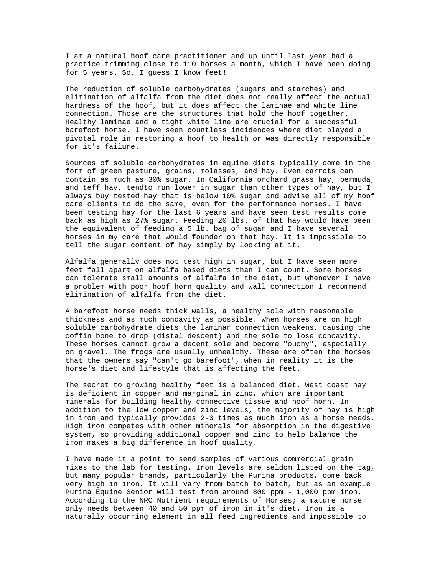I am a natural hoof care practitioner and up until last year had a practice trimming close to 110 horses a month, which I have been doing for 5 years. So, I guess I know feet!

The reduction of soluble carbohydrates (sugars and starches) and elimination of alfalfa from the diet does not really affect the actual hardness of the hoof, but it does affect the laminae and white line connection. Those are the structures that hold the hoof together. Healthy laminae and a tight white line are crucial for a successful barefoot horse. I have seen countless incidences where diet played a pivotal role in restoring a hoof to health or was directly responsible for it's failure.

Sources of soluble carbohydrates in equine diets typically come in the form of green pasture, grains, molasses, and hay. Even carrots can contain as much as 30% sugar. In California orchard grass hay, bermuda, and teff hay, tendto run lower in sugar than other types of hay, but I always buy tested hay that is below 10% sugar and advise all of my hoof care clients to do the same, even for the performance horses. I have been testing hay for the last 6 years and have seen test results come back as high as 27% sugar. Feeding 20 lbs. of that hay would have been the equivalent of feeding a 5 lb. bag of sugar and I have several horses in my care that would founder on that hay. It is impossible to tell the sugar content of hay simply by looking at it.

Alfalfa generally does not test high in sugar, but I have seen more feet fall apart on alfalfa based diets than I can count. Some horses can tolerate small amounts of alfalfa in the diet, but whenever I have a problem with poor hoof horn quality and wall connection I recommend elimination of alfalfa from the diet.

A barefoot horse needs thick walls, a healthy sole with reasonable thickness and as much concavity as possible. When horses are on high soluble carbohydrate diets the laminar connection weakens, causing the coffin bone to drop (distal descent) and the sole to lose concavity. These horses cannot grow a decent sole and become "ouchy", especially on gravel. The frogs are usually unhealthy. These are often the horses that the owners say "can't go barefoot", when in reality it is the horse's diet and lifestyle that is affecting the feet.

The secret to growing healthy feet is a balanced diet. West coast hay is deficient in copper and marginal in zinc, which are important minerals for building healthy connective tissue and hoof horn. In addition to the low copper and zinc levels, the majority of hay is high in iron and typically provides 2-3 times as much iron as a horse needs. High iron competes with other minerals for absorption in the digestive system, so providing additional copper and zinc to help balance the iron makes a big difference in hoof quality.

I have made it a point to send samples of various commercial grain mixes to the lab for testing. Iron levels are seldom listed on the tag, but many popular brands, particularly the Purina products, come back very high in iron. It will vary from batch to batch, but as an example Purina Equine Senior will test from around 800 ppm - 1,000 ppm iron. According to the NRC Nutrient requirements of Horses; a mature horse only needs between 40 and 50 ppm of iron in it's diet. Iron is a naturally occurring element in all feed ingredients and impossible to